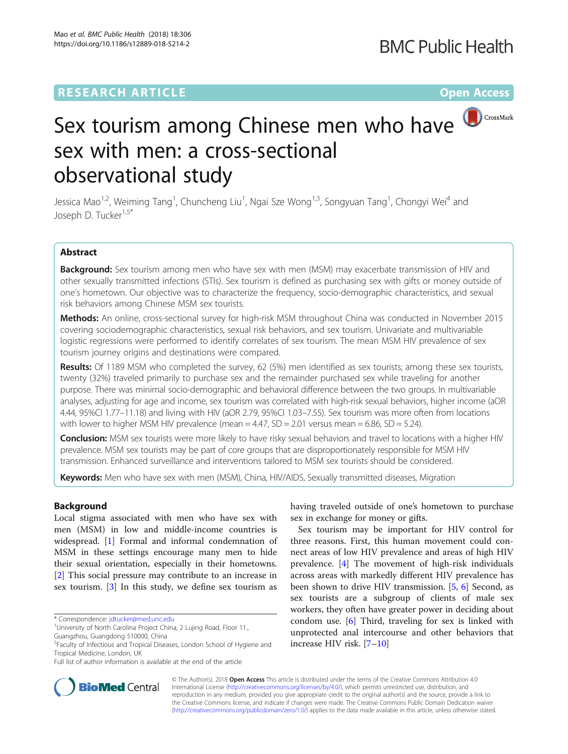## **RESEARCH ARTICLE Example 2014 12:30 The Contract of Contract ACCESS**

# Sex tourism among Chinese men who have sex with men: a cross-sectional observational study

Jessica Mao<sup>1,2</sup>, Weiming Tang<sup>1</sup>, Chuncheng Liu<sup>1</sup>, Ngai Sze Wong<sup>1,3</sup>, Songyuan Tang<sup>1</sup>, Chongyi Wei<sup>4</sup> and Joseph D. Tucker<sup>1,5\*</sup>

#### Abstract

Background: Sex tourism among men who have sex with men (MSM) may exacerbate transmission of HIV and other sexually transmitted infections (STIs). Sex tourism is defined as purchasing sex with gifts or money outside of one's hometown. Our objective was to characterize the frequency, socio-demographic characteristics, and sexual risk behaviors among Chinese MSM sex tourists.

Methods: An online, cross-sectional survey for high-risk MSM throughout China was conducted in November 2015 covering sociodemographic characteristics, sexual risk behaviors, and sex tourism. Univariate and multivariable logistic regressions were performed to identify correlates of sex tourism. The mean MSM HIV prevalence of sex tourism journey origins and destinations were compared.

Results: Of 1189 MSM who completed the survey, 62 (5%) men identified as sex tourists; among these sex tourists, twenty (32%) traveled primarily to purchase sex and the remainder purchased sex while traveling for another purpose. There was minimal socio-demographic and behavioral difference between the two groups. In multivariable analyses, adjusting for age and income, sex tourism was correlated with high-risk sexual behaviors, higher income (aOR 4.44, 95%CI 1.77–11.18) and living with HIV (aOR 2.79, 95%CI 1.03–7.55). Sex tourism was more often from locations with lower to higher MSM HIV prevalence (mean  $= 4.47$ , SD  $= 2.01$  versus mean  $= 6.86$ , SD  $= 5.24$ ).

Conclusion: MSM sex tourists were more likely to have risky sexual behaviors and travel to locations with a higher HIV prevalence. MSM sex tourists may be part of core groups that are disproportionately responsible for MSM HIV transmission. Enhanced surveillance and interventions tailored to MSM sex tourists should be considered.

Keywords: Men who have sex with men (MSM), China, HIV/AIDS, Sexually transmitted diseases, Migration

#### Background

Local stigma associated with men who have sex with men (MSM) in low and middle-income countries is widespread. [[1](#page-10-0)] Formal and informal condemnation of MSM in these settings encourage many men to hide their sexual orientation, especially in their hometowns. [[2\]](#page-10-0) This social pressure may contribute to an increase in sex tourism. [[3\]](#page-10-0) In this study, we define sex tourism as

\* Correspondence: [jdtucker@med.unc.edu](mailto:jdtucker@med.unc.edu) <sup>1</sup>



Sex tourism may be important for HIV control for three reasons. First, this human movement could connect areas of low HIV prevalence and areas of high HIV prevalence. [\[4](#page-10-0)] The movement of high-risk individuals across areas with markedly different HIV prevalence has been shown to drive HIV transmission. [[5](#page-10-0), [6\]](#page-10-0) Second, as sex tourists are a subgroup of clients of male sex workers, they often have greater power in deciding about condom use. [[6\]](#page-10-0) Third, traveling for sex is linked with unprotected anal intercourse and other behaviors that increase HIV risk. [\[7](#page-10-0)–[10](#page-10-0)]



© The Author(s). 2018 Open Access This article is distributed under the terms of the Creative Commons Attribution 4.0 International License [\(http://creativecommons.org/licenses/by/4.0/](http://creativecommons.org/licenses/by/4.0/)), which permits unrestricted use, distribution, and reproduction in any medium, provided you give appropriate credit to the original author(s) and the source, provide a link to the Creative Commons license, and indicate if changes were made. The Creative Commons Public Domain Dedication waiver [\(http://creativecommons.org/publicdomain/zero/1.0/](http://creativecommons.org/publicdomain/zero/1.0/)) applies to the data made available in this article, unless otherwise stated.

<sup>&</sup>lt;sup>1</sup>University of North Carolina Project China, 2 Lujing Road, Floor 11., Guangzhou, Guangdong 510000, China

<sup>5</sup> Faculty of Infectious and Tropical Diseases, London School of Hygiene and Tropical Medicine, London, UK

Full list of author information is available at the end of the article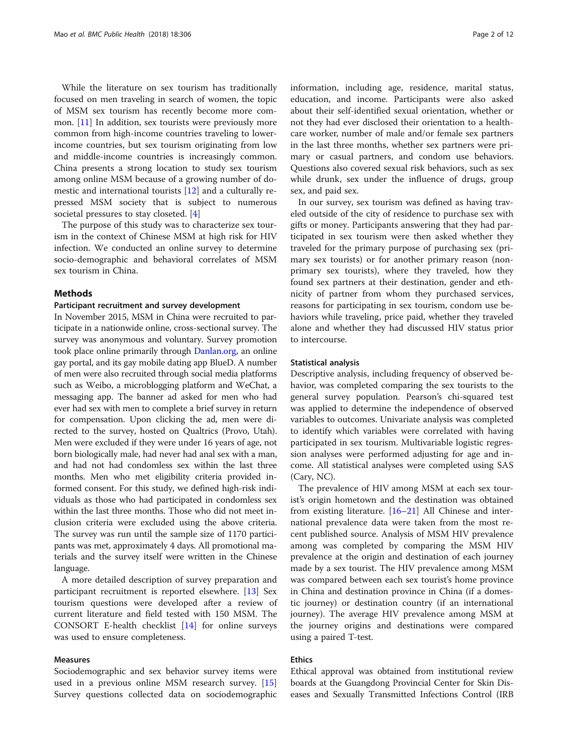While the literature on sex tourism has traditionally focused on men traveling in search of women, the topic of MSM sex tourism has recently become more common. [[11\]](#page-10-0) In addition, sex tourists were previously more common from high-income countries traveling to lowerincome countries, but sex tourism originating from low and middle-income countries is increasingly common. China presents a strong location to study sex tourism among online MSM because of a growing number of domestic and international tourists [\[12](#page-10-0)] and a culturally repressed MSM society that is subject to numerous societal pressures to stay closeted. [\[4](#page-10-0)]

The purpose of this study was to characterize sex tourism in the context of Chinese MSM at high risk for HIV infection. We conducted an online survey to determine socio-demographic and behavioral correlates of MSM sex tourism in China.

#### Methods

#### Participant recruitment and survey development

In November 2015, MSM in China were recruited to participate in a nationwide online, cross-sectional survey. The survey was anonymous and voluntary. Survey promotion took place online primarily through [Danlan.org,](http://danlan.org) an online gay portal, and its gay mobile dating app BlueD. A number of men were also recruited through social media platforms such as Weibo, a microblogging platform and WeChat, a messaging app. The banner ad asked for men who had ever had sex with men to complete a brief survey in return for compensation. Upon clicking the ad, men were directed to the survey, hosted on Qualtrics (Provo, Utah). Men were excluded if they were under 16 years of age, not born biologically male, had never had anal sex with a man, and had not had condomless sex within the last three months. Men who met eligibility criteria provided informed consent. For this study, we defined high-risk individuals as those who had participated in condomless sex within the last three months. Those who did not meet inclusion criteria were excluded using the above criteria. The survey was run until the sample size of 1170 participants was met, approximately 4 days. All promotional materials and the survey itself were written in the Chinese language.

A more detailed description of survey preparation and participant recruitment is reported elsewhere. [[13\]](#page-10-0) Sex tourism questions were developed after a review of current literature and field tested with 150 MSM. The CONSORT E-health checklist [\[14](#page-10-0)] for online surveys was used to ensure completeness.

#### Measures

Sociodemographic and sex behavior survey items were used in a previous online MSM research survey. [[15](#page-10-0)] Survey questions collected data on sociodemographic information, including age, residence, marital status, education, and income. Participants were also asked about their self-identified sexual orientation, whether or not they had ever disclosed their orientation to a healthcare worker, number of male and/or female sex partners in the last three months, whether sex partners were primary or casual partners, and condom use behaviors. Questions also covered sexual risk behaviors, such as sex while drunk, sex under the influence of drugs, group sex, and paid sex.

In our survey, sex tourism was defined as having traveled outside of the city of residence to purchase sex with gifts or money. Participants answering that they had participated in sex tourism were then asked whether they traveled for the primary purpose of purchasing sex (primary sex tourists) or for another primary reason (nonprimary sex tourists), where they traveled, how they found sex partners at their destination, gender and ethnicity of partner from whom they purchased services, reasons for participating in sex tourism, condom use behaviors while traveling, price paid, whether they traveled alone and whether they had discussed HIV status prior to intercourse.

#### Statistical analysis

Descriptive analysis, including frequency of observed behavior, was completed comparing the sex tourists to the general survey population. Pearson's chi-squared test was applied to determine the independence of observed variables to outcomes. Univariate analysis was completed to identify which variables were correlated with having participated in sex tourism. Multivariable logistic regression analyses were performed adjusting for age and income. All statistical analyses were completed using SAS (Cary, NC).

The prevalence of HIV among MSM at each sex tourist's origin hometown and the destination was obtained from existing literature. [\[16](#page-10-0)–[21\]](#page-11-0) All Chinese and international prevalence data were taken from the most recent published source. Analysis of MSM HIV prevalence among was completed by comparing the MSM HIV prevalence at the origin and destination of each journey made by a sex tourist. The HIV prevalence among MSM was compared between each sex tourist's home province in China and destination province in China (if a domestic journey) or destination country (if an international journey). The average HIV prevalence among MSM at the journey origins and destinations were compared using a paired T-test.

#### Ethics

Ethical approval was obtained from institutional review boards at the Guangdong Provincial Center for Skin Diseases and Sexually Transmitted Infections Control (IRB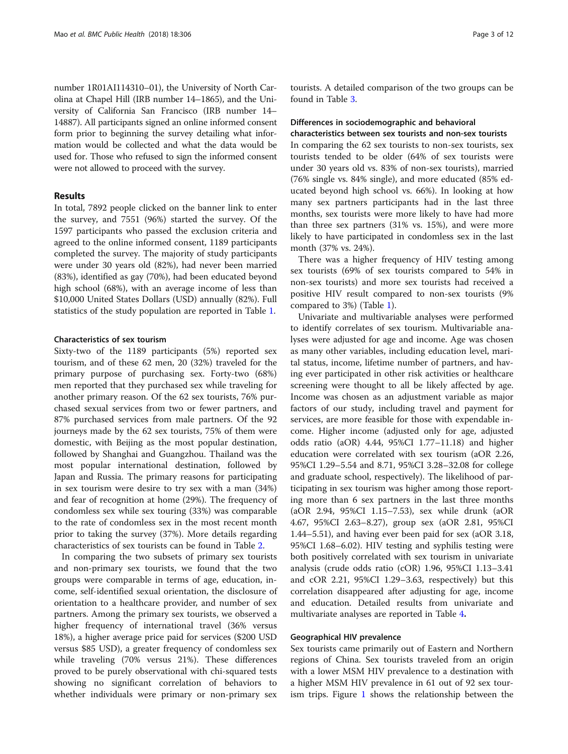number 1R01AI114310–01), the University of North Carolina at Chapel Hill (IRB number 14–1865), and the University of California San Francisco (IRB number 14– 14887). All participants signed an online informed consent form prior to beginning the survey detailing what information would be collected and what the data would be used for. Those who refused to sign the informed consent were not allowed to proceed with the survey.

#### Results

In total, 7892 people clicked on the banner link to enter the survey, and 7551 (96%) started the survey. Of the 1597 participants who passed the exclusion criteria and agreed to the online informed consent, 1189 participants completed the survey. The majority of study participants were under 30 years old (82%), had never been married (83%), identified as gay (70%), had been educated beyond high school (68%), with an average income of less than \$10,000 United States Dollars (USD) annually (82%). Full statistics of the study population are reported in Table [1](#page-3-0).

#### Characteristics of sex tourism

Sixty-two of the 1189 participants (5%) reported sex tourism, and of these 62 men, 20 (32%) traveled for the primary purpose of purchasing sex. Forty-two (68%) men reported that they purchased sex while traveling for another primary reason. Of the 62 sex tourists, 76% purchased sexual services from two or fewer partners, and 87% purchased services from male partners. Of the 92 journeys made by the 62 sex tourists, 75% of them were domestic, with Beijing as the most popular destination, followed by Shanghai and Guangzhou. Thailand was the most popular international destination, followed by Japan and Russia. The primary reasons for participating in sex tourism were desire to try sex with a man (34%) and fear of recognition at home (29%). The frequency of condomless sex while sex touring (33%) was comparable to the rate of condomless sex in the most recent month prior to taking the survey (37%). More details regarding characteristics of sex tourists can be found in Table [2.](#page-5-0)

In comparing the two subsets of primary sex tourists and non-primary sex tourists, we found that the two groups were comparable in terms of age, education, income, self-identified sexual orientation, the disclosure of orientation to a healthcare provider, and number of sex partners. Among the primary sex tourists, we observed a higher frequency of international travel (36% versus 18%), a higher average price paid for services (\$200 USD versus \$85 USD), a greater frequency of condomless sex while traveling (70% versus 21%). These differences proved to be purely observational with chi-squared tests showing no significant correlation of behaviors to whether individuals were primary or non-primary sex

tourists. A detailed comparison of the two groups can be found in Table [3](#page-6-0).

#### Differences in sociodemographic and behavioral characteristics between sex tourists and non-sex tourists

In comparing the 62 sex tourists to non-sex tourists, sex tourists tended to be older (64% of sex tourists were under 30 years old vs. 83% of non-sex tourists), married (76% single vs. 84% single), and more educated (85% educated beyond high school vs. 66%). In looking at how many sex partners participants had in the last three months, sex tourists were more likely to have had more than three sex partners (31% vs. 15%), and were more likely to have participated in condomless sex in the last month (37% vs. 24%).

There was a higher frequency of HIV testing among sex tourists (69% of sex tourists compared to 54% in non-sex tourists) and more sex tourists had received a positive HIV result compared to non-sex tourists (9% compared to 3%) (Table [1\)](#page-3-0).

Univariate and multivariable analyses were performed to identify correlates of sex tourism. Multivariable analyses were adjusted for age and income. Age was chosen as many other variables, including education level, marital status, income, lifetime number of partners, and having ever participated in other risk activities or healthcare screening were thought to all be likely affected by age. Income was chosen as an adjustment variable as major factors of our study, including travel and payment for services, are more feasible for those with expendable income. Higher income (adjusted only for age, adjusted odds ratio (aOR) 4.44, 95%CI 1.77–11.18) and higher education were correlated with sex tourism (aOR 2.26, 95%CI 1.29–5.54 and 8.71, 95%CI 3.28–32.08 for college and graduate school, respectively). The likelihood of participating in sex tourism was higher among those reporting more than 6 sex partners in the last three months (aOR 2.94, 95%CI 1.15–7.53), sex while drunk (aOR 4.67, 95%CI 2.63–8.27), group sex (aOR 2.81, 95%CI 1.44–5.51), and having ever been paid for sex (aOR 3.18, 95%CI 1.68–6.02). HIV testing and syphilis testing were both positively correlated with sex tourism in univariate analysis (crude odds ratio (cOR) 1.96, 95%CI 1.13–3.41 and cOR 2.21, 95%CI 1.29–3.63, respectively) but this correlation disappeared after adjusting for age, income and education. Detailed results from univariate and multivariate analyses are reported in Table [4](#page-8-0).

#### Geographical HIV prevalence

Sex tourists came primarily out of Eastern and Northern regions of China. Sex tourists traveled from an origin with a lower MSM HIV prevalence to a destination with a higher MSM HIV prevalence in 61 out of 92 sex tourism trips. Figure [1](#page-9-0) shows the relationship between the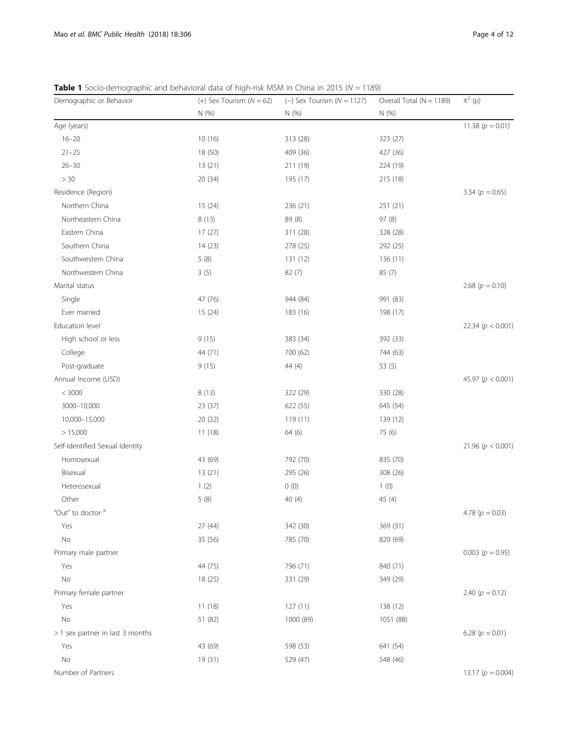<span id="page-3-0"></span>**Table 1** Socio-demographic and behavioral data of high-risk MSM in China in 2015 ( $N = 1189$ )

| Demographic or Behavior          | $(+)$ Sex Tourism $(N = 62)$ | $(-)$ Sex Tourism ( $N = 1127$ ) | Overall Total ( $N = 1189$ ) | $X^2$ (p)             |
|----------------------------------|------------------------------|----------------------------------|------------------------------|-----------------------|
|                                  | N (%)                        | N (%)                            | N (%)                        |                       |
| Age (years)                      |                              |                                  |                              | 11.38 ( $p = 0.01$ )  |
| $16 - 20$                        | 10(16)                       | 313 (28)                         | 323 (27)                     |                       |
| $21 - 25$                        | 18 (50)                      | 409 (36)                         | 427 (36)                     |                       |
| $26 - 30$                        | 13(21)                       | 211 (19)                         | 224 (19)                     |                       |
| >30                              | 20(34)                       | 195 (17)                         | 215 (18)                     |                       |
| Residence (Region)               |                              |                                  |                              | 3.34 ( $p = 0.65$ )   |
| Northern China                   | 15(24)                       | 236 (21)                         | 251 (21)                     |                       |
| Northeastern China               | 8(13)                        | 89 (8)                           | 97 (8)                       |                       |
| Eastern China                    | 17(27)                       | 311 (28)                         | 328 (28)                     |                       |
| Southern China                   | 14(23)                       | 278 (25)                         | 292 (25)                     |                       |
| Southwestern China               | 5(8)                         | 131 (12)                         | 136 (11)                     |                       |
| Northwestern China               | 3(5)                         | 82(7)                            | 85 (7)                       |                       |
| Marital status                   |                              |                                  |                              | 2.68 ( $p = 0.10$ )   |
| Single                           | 47 (76)                      | 944 (84)                         | 991 (83)                     |                       |
| Ever married                     | 15(24)                       | 183 (16)                         | 198 (17)                     |                       |
| Education level                  |                              |                                  |                              | 22.34 ( $p < 0.001$ ) |
| High school or less              | 9(15)                        | 383 (34)                         | 392 (33)                     |                       |
| College                          | 44 (71)                      | 700 (62)                         | 744 (63)                     |                       |
| Post-graduate                    | 9(15)                        | 44 (4)                           | 53 (5)                       |                       |
| Annual Income (USD)              |                              |                                  |                              | 45.97 ( $p < 0.001$ ) |
| < 3000                           | 8(13)                        | 322 (29)                         | 330 (28)                     |                       |
| 3000-10,000                      | 23 (37)                      | 622 (55)                         | 645 (54)                     |                       |
| 10,000-15,000                    | 20 (32)                      | 119 (11)                         | 139 (12)                     |                       |
| > 15,000                         | 11(18)                       | 64 (6)                           | 75 (6)                       |                       |
| Self-Identified Sexual Identity  |                              |                                  |                              | 21.96 ( $p < 0.001$ ) |
| Homosexual                       | 43 (69)                      | 792 (70)                         | 835 (70)                     |                       |
| Bisexual                         | 13(21)                       | 295 (26)                         | 308 (26)                     |                       |
| Heterosexual                     | 1(2)                         | 0(0)                             | 1(0)                         |                       |
| Other                            | 5(8)                         | 40 (4)                           | 45 (4)                       |                       |
| "Out" to doctor <sup>a</sup>     |                              |                                  |                              | 4.78 ( $p = 0.03$ )   |
| Yes                              | 27 (44)                      | 342 (30)                         | 369 (31)                     |                       |
| $\rm No$                         | 35 (56)                      | 785 (70)                         | 820 (69)                     |                       |
| Primary male partner             |                              |                                  |                              | 0.003 ( $p = 0.95$ )  |
| Yes                              | 44 (75)                      | 796 (71)                         | 840 (71)                     |                       |
| No                               | 18 (25)                      | 331 (29)                         | 349 (29)                     |                       |
| Primary female partner           |                              |                                  |                              | 2.40 ( $p = 0.12$ )   |
| Yes                              | 11(18)                       | 127(11)                          | 138 (12)                     |                       |
| No                               | 51 (82)                      | 1000 (89)                        | 1051 (88)                    |                       |
| > 1 sex partner in last 3 months |                              |                                  |                              | 6.28 ( $p = 0.01$ )   |
| Yes                              | 43 (69)                      | 598 (53)                         | 641 (54)                     |                       |
| No                               | 19 (31)                      | 529 (47)                         | 548 (46)                     |                       |
| Number of Partners               |                              |                                  |                              | 13.17 ( $p = 0.004$ ) |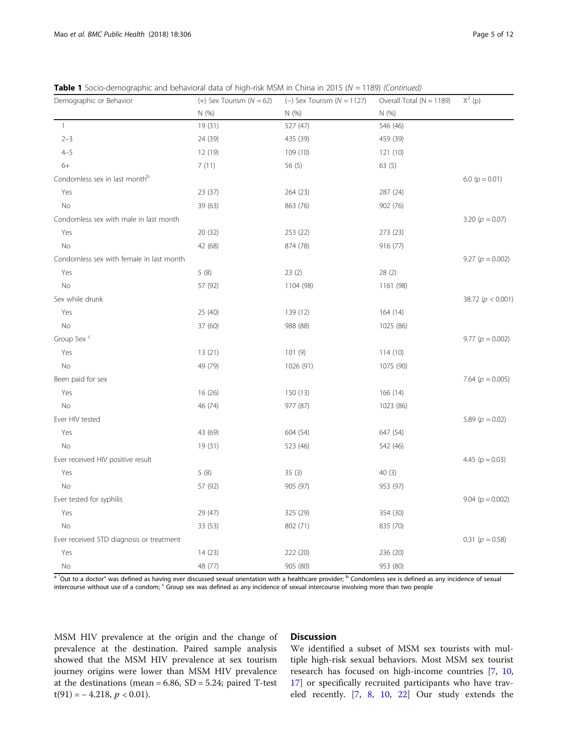**Table 1** Socio-demographic and behavioral data of high-risk MSM in China in 2015 ( $N = 1189$ ) (Continued)

| Demographic or Behavior                   | (+) Sex Tourism ( $N = 62$ ) | $(-)$ Sex Tourism ( $N = 1127$ ) | Overall Total (N = 1189) | $X^2$ (p)             |
|-------------------------------------------|------------------------------|----------------------------------|--------------------------|-----------------------|
|                                           | N (%)                        | N (%)                            | N (%)                    |                       |
| $\mathbf{1}$                              | 19 (31)                      | 527 (47)                         | 546 (46)                 |                       |
| $2 - 3$                                   | 24 (39)                      | 435 (39)                         | 459 (39)                 |                       |
| $4 - 5$                                   | 12 (19)                      | 109 (10)                         | 121 (10)                 |                       |
| $6+$                                      | 7(11)                        | 56 $(5)$                         | 63(5)                    |                       |
| Condomless sex in last month <sup>b</sup> |                              |                                  |                          | 6.0 ( $p = 0.01$ )    |
| Yes                                       | 23 (37)                      | 264 (23)                         | 287 (24)                 |                       |
| No                                        | 39 (63)                      | 863 (76)                         | 902 (76)                 |                       |
| Condomless sex with male in last month    |                              |                                  |                          | 3.20 ( $p = 0.07$ )   |
| Yes                                       | 20 (32)                      | 253 (22)                         | 273 (23)                 |                       |
| No                                        | 42 (68)                      | 874 (78)                         | 916 (77)                 |                       |
| Condomless sex with female in last month  |                              |                                  |                          | 9.27 ( $p = 0.002$ )  |
| Yes                                       | 5(8)                         | 23(2)                            | 28(2)                    |                       |
| No                                        | 57 (92)                      | 1104 (98)                        | 1161 (98)                |                       |
| Sex while drunk                           |                              |                                  |                          | 38.72 ( $p < 0.001$ ) |
| Yes                                       | 25 (40)                      | 139 (12)                         | 164(14)                  |                       |
| No                                        | 37 (60)                      | 988 (88)                         | 1025 (86)                |                       |
| Group Sex <sup>c</sup>                    |                              |                                  |                          | 9.77 ( $p = 0.002$ )  |
| Yes                                       | 13(21)                       | 101(9)                           | 114(10)                  |                       |
| No                                        | 49 (79)                      | 1026 (91)                        | 1075 (90)                |                       |
| Been paid for sex                         |                              |                                  |                          | 7.64 ( $p = 0.005$ )  |
| Yes                                       | 16 (26)                      | 150(13)                          | 166(14)                  |                       |
| No                                        | 46 (74)                      | 977 (87)                         | 1023 (86)                |                       |
| Ever HIV tested                           |                              |                                  |                          | 5.89 ( $p = 0.02$ )   |
| Yes                                       | 43 (69)                      | 604 (54)                         | 647 (54)                 |                       |
| No                                        | 19(31)                       | 523 (46)                         | 542 (46)                 |                       |
| Ever received HIV positive result         |                              |                                  |                          | 4.45 ( $p = 0.03$ )   |
| Yes                                       | 5(8)                         | 35(3)                            | 40(3)                    |                       |
| No                                        | 57 (92)                      | 905 (97)                         | 953 (97)                 |                       |
| Ever tested for syphilis                  |                              |                                  |                          | 9.04 ( $p = 0.002$ )  |
| Yes                                       | 29 (47)                      | 325 (29)                         | 354 (30)                 |                       |
| <b>No</b>                                 | 33 (53)                      | 802 (71)                         | 835 (70)                 |                       |
| Ever received STD diagnosis or treatment  |                              |                                  |                          | 0.31 ( $p = 0.58$ )   |
| Yes                                       | 14(23)                       | 222 (20)                         | 236 (20)                 |                       |
| No                                        | 48 (77)                      | 905 (80)                         | 953 (80)                 |                       |

<sup>a</sup> "Out to a doctor" was defined as having ever discussed sexual orientation with a healthcare provider; <sup>b</sup> Condomless sex is defined as any incidence of sexual intercourse without use of a condom; <sup>c</sup> Group sex was defined as any incidence of sexual intercourse involving more than two people

MSM HIV prevalence at the origin and the change of prevalence at the destination. Paired sample analysis showed that the MSM HIV prevalence at sex tourism journey origins were lower than MSM HIV prevalence at the destinations (mean =  $6.86$ , SD =  $5.24$ ; paired T-test  $t(91) = -4.218, p < 0.01$ ).

#### Discussion

We identified a subset of MSM sex tourists with multiple high-risk sexual behaviors. Most MSM sex tourist research has focused on high-income countries [[7,](#page-10-0) [10](#page-10-0), [17\]](#page-11-0) or specifically recruited participants who have traveled recently. [[7,](#page-10-0) [8](#page-10-0), [10,](#page-10-0) [22](#page-11-0)] Our study extends the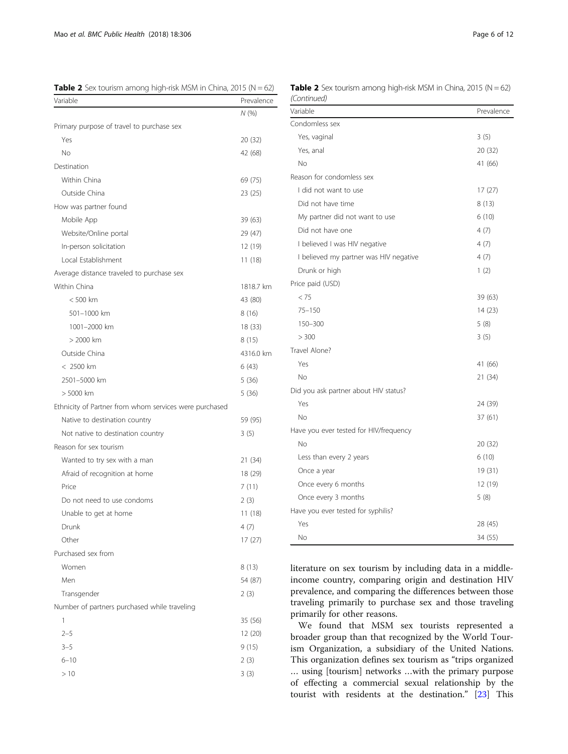<span id="page-5-0"></span>

| <b>Table 2</b> Sex tourism among high-risk MSM in China, 2015 (N = 62) |  |  |  |  |  |
|------------------------------------------------------------------------|--|--|--|--|--|
|------------------------------------------------------------------------|--|--|--|--|--|

| Variable                                               | Prevalence |
|--------------------------------------------------------|------------|
|                                                        | N (%)      |
| Primary purpose of travel to purchase sex              |            |
| Yes                                                    | 20 (32)    |
| No                                                     | 42 (68)    |
| Destination                                            |            |
| Within China                                           | 69 (75)    |
| Outside China                                          | 23 (25)    |
| How was partner found                                  |            |
| Mobile App                                             | 39 (63)    |
| Website/Online portal                                  | 29 (47)    |
| In-person solicitation                                 | 12 (19)    |
| Local Establishment                                    | 11 (18)    |
| Average distance traveled to purchase sex              |            |
| Within China                                           | 1818.7 km  |
| $< 500$ km                                             | 43 (80)    |
| 501-1000 km                                            | 8 (16)     |
| 1001-2000 km                                           | 18 (33)    |
| > 2000 km                                              | 8 (15)     |
| Outside China                                          | 4316.0 km  |
| < 2500 km                                              | 6(43)      |
| 2501-5000 km                                           | 5 (36)     |
| > 5000 km                                              | 5 (36)     |
| Ethnicity of Partner from whom services were purchased |            |
| Native to destination country                          | 59 (95)    |
| Not native to destination country                      | 3(5)       |
| Reason for sex tourism                                 |            |
| Wanted to try sex with a man                           | 21 (34)    |
| Afraid of recognition at home                          | 18 (29)    |
| Price                                                  | 7(11)      |
| Do not need to use condoms                             | 2(3)       |
| Unable to get at home                                  | 11 (18)    |
| Drunk                                                  | 4(7)       |
| Other                                                  | 17(27)     |
| Purchased sex from                                     |            |
| Women                                                  | 8(13)      |
| Men                                                    | 54 (87)    |
| Transgender                                            | 2(3)       |
| Number of partners purchased while traveling           |            |
| 1                                                      | 35 (56)    |
| $2 - 5$                                                | 12 (20)    |
| $3 - 5$                                                | 9(15)      |
| $6 - 10$                                               | 2(3)       |
| >10                                                    | 3(3)       |
|                                                        |            |

| (Continued)                            |            |
|----------------------------------------|------------|
| Variable                               | Prevalence |
| Condomless sex                         |            |
| Yes, vaginal                           | 3(5)       |
| Yes, anal                              | 20 (32)    |
| No                                     | 41 (66)    |
| Reason for condomless sex              |            |
| I did not want to use                  | 17(27)     |
| Did not have time                      | 8 (13)     |
| My partner did not want to use         | 6(10)      |
| Did not have one                       | 4(7)       |
| I believed I was HIV negative          | 4(7)       |
| I believed my partner was HIV negative | 4(7)       |
| Drunk or high                          | 1(2)       |
| Price paid (USD)                       |            |
| < 75                                   | 39 (63)    |
| $75 - 150$                             | 14 (23)    |
| 150-300                                | 5(8)       |
| > 300                                  | 3(5)       |
| Travel Alone?                          |            |
| Yes                                    | 41 (66)    |
| No                                     | 21 (34)    |
| Did you ask partner about HIV status?  |            |
| Yes                                    | 24 (39)    |
| No                                     | 37 (61)    |
| Have you ever tested for HIV/frequency |            |
| No                                     | 20 (32)    |
| Less than every 2 years                | 6(10)      |
| Once a year                            | 19 (31)    |
| Once every 6 months                    | 12 (19)    |
| Once every 3 months                    | 5(8)       |
| Have you ever tested for syphilis?     |            |
| Yes                                    | 28 (45)    |
| No                                     | 34 (55)    |

literature on sex tourism by including data in a middleincome country, comparing origin and destination HIV prevalence, and comparing the differences between those traveling primarily to purchase sex and those traveling primarily for other reasons.

We found that MSM sex tourists represented a broader group than that recognized by the World Tourism Organization, a subsidiary of the United Nations. This organization defines sex tourism as "trips organized … using [tourism] networks …with the primary purpose of effecting a commercial sexual relationship by the tourist with residents at the destination." [[23\]](#page-11-0) This

**Table 2** Sex tourism among high-risk MSM in China, 2015 ( $N = 62$ )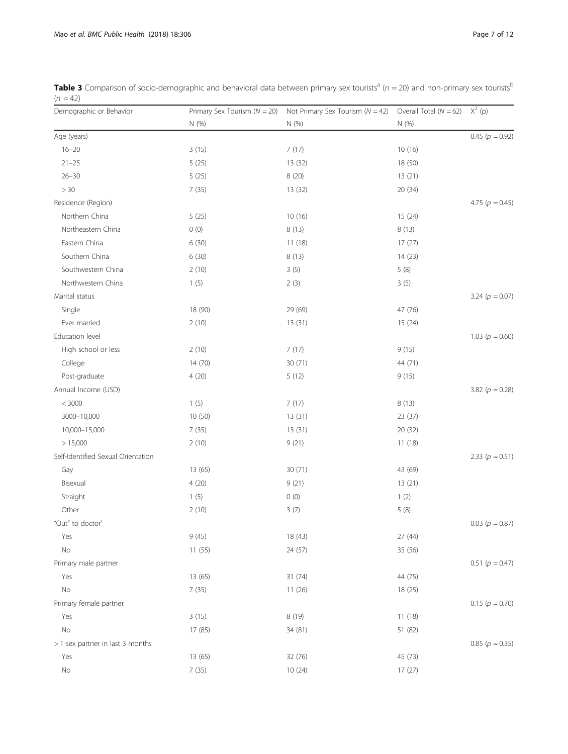<span id="page-6-0"></span>

| Table 3 Comparison of socio-demographic and behavioral data between primary sex tourists <sup>a</sup> ( $n = 20$ ) and non-primary sex tourists <sup>b</sup> |  |
|--------------------------------------------------------------------------------------------------------------------------------------------------------------|--|
| $(n = 42)$                                                                                                                                                   |  |

| Demographic or Behavior            | Primary Sex Tourism $(N = 20)$ | Not Primary Sex Tourism ( $N = 42$ ) Overall Total ( $N = 62$ ) $X^2$ (p) |         |                     |
|------------------------------------|--------------------------------|---------------------------------------------------------------------------|---------|---------------------|
|                                    | N(% )                          | N (%)                                                                     | N (%)   |                     |
| Age (years)                        |                                |                                                                           |         | 0.45 ( $p = 0.92$ ) |
| $16 - 20$                          | 3(15)                          | 7(17)                                                                     | 10(16)  |                     |
| $21 - 25$                          | 5(25)                          | 13 (32)                                                                   | 18 (50) |                     |
| $26 - 30$                          | 5(25)                          | 8 (20)                                                                    | 13(21)  |                     |
| $>30\,$                            | 7(35)                          | 13(32)                                                                    | 20(34)  |                     |
| Residence (Region)                 |                                |                                                                           |         | 4.75 ( $p = 0.45$ ) |
| Northern China                     | 5(25)                          | 10(16)                                                                    | 15(24)  |                     |
| Northeastern China                 | 0(0)                           | 8(13)                                                                     | 8(13)   |                     |
| Eastern China                      | 6 (30)                         | 11(18)                                                                    | 17(27)  |                     |
| Southern China                     | 6 (30)                         | 8 (13)                                                                    | 14(23)  |                     |
| Southwestern China                 | 2(10)                          | 3(5)                                                                      | 5(8)    |                     |
| Northwestern China                 | 1(5)                           | 2(3)                                                                      | 3(5)    |                     |
| Marital status                     |                                |                                                                           |         | 3.24 ( $p = 0.07$ ) |
| Single                             | 18 (90)                        | 29 (69)                                                                   | 47 (76) |                     |
| Ever married                       | 2(10)                          | 13(31)                                                                    | 15(24)  |                     |
| Education level                    |                                |                                                                           |         | 1.03 ( $p = 0.60$ ) |
| High school or less                | 2(10)                          | 7(17)                                                                     | 9(15)   |                     |
| College                            | 14(70)                         | 30 (71)                                                                   | 44 (71) |                     |
| Post-graduate                      | 4(20)                          | 5(12)                                                                     | 9(15)   |                     |
| Annual Income (USD)                |                                |                                                                           |         | 3.82 ( $p = 0.28$ ) |
| $< 3000\,$                         | 1(5)                           | 7(17)                                                                     | 8(13)   |                     |
| 3000-10,000                        | 10 (50)                        | 13(31)                                                                    | 23(37)  |                     |
| 10,000-15,000                      | 7(35)                          | 13(31)                                                                    | 20(32)  |                     |
| > 15,000                           | 2(10)                          | 9(21)                                                                     | 11(18)  |                     |
| Self-Identified Sexual Orientation |                                |                                                                           |         | 2.33 ( $p = 0.51$ ) |
| Gay                                | 13 (65)                        | 30 (71)                                                                   | 43 (69) |                     |
| Bisexual                           | 4(20)                          | 9(21)                                                                     | 13(21)  |                     |
| Straight                           | 1(5)                           | 0(0)                                                                      | 1(2)    |                     |
| Other                              | 2(10)                          | 3(7)                                                                      | 5(8)    |                     |
| "Out" to doctor <sup>c</sup>       |                                |                                                                           |         | $0.03(p = 0.87)$    |
| Yes                                | 9(45)                          | 18 (43)                                                                   | 27 (44) |                     |
| No                                 | 11(55)                         | 24 (57)                                                                   | 35 (56) |                     |
| Primary male partner               |                                |                                                                           |         | $0.51(p = 0.47)$    |
| Yes                                | 13 (65)                        | 31 (74)                                                                   | 44 (75) |                     |
| No                                 | 7(35)                          | 11(26)                                                                    | 18 (25) |                     |
| Primary female partner             |                                |                                                                           |         | 0.15 ( $p = 0.70$ ) |
| Yes                                | 3(15)                          | 8 (19)                                                                    | 11(18)  |                     |
| No                                 | 17 (85)                        | 34 (81)                                                                   | 51 (82) |                     |
| > 1 sex partner in last 3 months   |                                |                                                                           |         | 0.85 ( $p = 0.35$ ) |
| Yes                                | 13 (65)                        | 32 (76)                                                                   | 45 (73) |                     |
| $\rm No$                           | 7(35)                          | 10(24)                                                                    | 17(27)  |                     |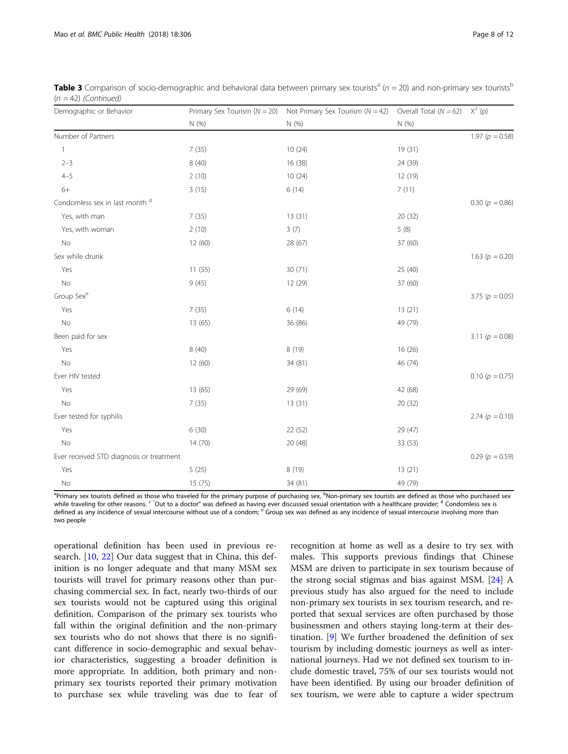| Demographic or Behavior                   |         | Primary Sex Tourism ( $N = 20$ ) Not Primary Sex Tourism ( $N = 42$ ) | Overall Total ( $N = 62$ ) $X^2$ (p) |                     |
|-------------------------------------------|---------|-----------------------------------------------------------------------|--------------------------------------|---------------------|
|                                           | N(%)    | N (%)                                                                 | N (%)                                |                     |
| Number of Partners                        |         |                                                                       |                                      | 1.97 ( $p = 0.58$ ) |
| $\mathbf{1}$                              | 7(35)   | 10(24)                                                                | 19(31)                               |                     |
| $2 - 3$                                   | 8(40)   | 16 (38)                                                               | 24 (39)                              |                     |
| $4 - 5$                                   | 2(10)   | 10(24)                                                                | 12 (19)                              |                     |
| $6+$                                      | 3(15)   | 6(14)                                                                 | 7(11)                                |                     |
| Condomless sex in last month <sup>d</sup> |         |                                                                       |                                      | $0.30(p = 0.86)$    |
| Yes, with man                             | 7(35)   | 13(31)                                                                | 20 (32)                              |                     |
| Yes, with woman                           | 2(10)   | 3(7)                                                                  | 5(8)                                 |                     |
| No                                        | 12 (60) | 28 (67)                                                               | 37 (60)                              |                     |
| Sex while drunk                           |         |                                                                       |                                      | 1.63 ( $p = 0.20$ ) |
| Yes                                       | 11(55)  | 30(71)                                                                | 25 (40)                              |                     |
| $\rm No$                                  | 9(45)   | 12 (29)                                                               | 37 (60)                              |                     |
| Group Sex <sup>e</sup>                    |         |                                                                       |                                      | 3.75 ( $p = 0.05$ ) |
| Yes                                       | 7(35)   | 6(14)                                                                 | 13(21)                               |                     |
| No                                        | 13 (65) | 36 (86)                                                               | 49 (79)                              |                     |
| Been paid for sex                         |         |                                                                       |                                      | 3.11 ( $p = 0.08$ ) |
| Yes                                       | 8(40)   | 8(19)                                                                 | 16(26)                               |                     |
| <b>No</b>                                 | 12(60)  | 34 (81)                                                               | 46 (74)                              |                     |
| Ever HIV tested                           |         |                                                                       |                                      | 0.10 ( $p = 0.75$ ) |
| Yes                                       | 13 (65) | 29 (69)                                                               | 42 (68)                              |                     |
| No                                        | 7(35)   | 13(31)                                                                | 20 (32)                              |                     |
| Ever tested for syphilis                  |         |                                                                       |                                      | 2.74 ( $p = 0.10$ ) |
| Yes                                       | 6(30)   | 22 (52)                                                               | 29 (47)                              |                     |
| No                                        | 14 (70) | 20 (48)                                                               | 33 (53)                              |                     |
| Ever received STD diagnosis or treatment  |         |                                                                       |                                      | $0.29 (p = 0.59)$   |
| Yes                                       | 5(25)   | 8 (19)                                                                | 13(21)                               |                     |
| No                                        | 15 (75) | 34 (81)                                                               | 49 (79)                              |                     |

**Table 3** Comparison of socio-demographic and behavioral data between primary sex tourists<sup>a</sup> ( $n = 20$ ) and non-primary sex tourists<sup>b</sup>  $(n = 42)$  (Continued)

<sup>a</sup>Primary sex tourists defined as those who traveled for the primary purpose of purchasing sex, <sup>b</sup>Non-primary sex tourists are defined as those who purchased sex while traveling for other reasons. <sup>c</sup> Out to a doctor" was defined as having ever discussed sexual orientation with a healthcare provider; <sup>d</sup> Condomless sex is defined as any incidence of sexual intercourse without use of a condom; <sup>e</sup> Group sex was defined as any incidence of sexual intercourse involving more than two people

operational definition has been used in previous research. [\[10](#page-10-0), [22](#page-11-0)] Our data suggest that in China, this definition is no longer adequate and that many MSM sex tourists will travel for primary reasons other than purchasing commercial sex. In fact, nearly two-thirds of our sex tourists would not be captured using this original definition. Comparison of the primary sex tourists who fall within the original definition and the non-primary sex tourists who do not shows that there is no significant difference in socio-demographic and sexual behavior characteristics, suggesting a broader definition is more appropriate. In addition, both primary and nonprimary sex tourists reported their primary motivation to purchase sex while traveling was due to fear of

recognition at home as well as a desire to try sex with males. This supports previous findings that Chinese MSM are driven to participate in sex tourism because of the strong social stigmas and bias against MSM. [[24\]](#page-11-0) A previous study has also argued for the need to include non-primary sex tourists in sex tourism research, and reported that sexual services are often purchased by those businessmen and others staying long-term at their destination. [[9](#page-10-0)] We further broadened the definition of sex tourism by including domestic journeys as well as international journeys. Had we not defined sex tourism to include domestic travel, 75% of our sex tourists would not have been identified. By using our broader definition of sex tourism, we were able to capture a wider spectrum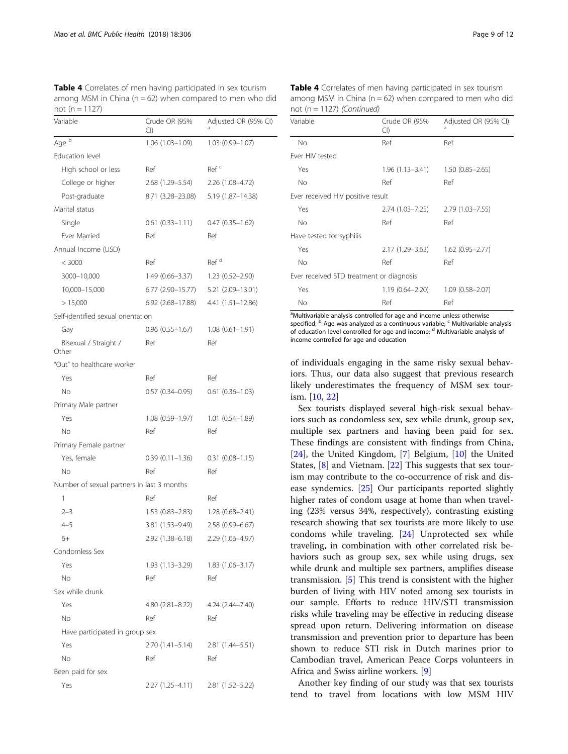<span id="page-8-0"></span>Table 4 Correlates of men having participated in sex tourism among MSM in China ( $n = 62$ ) when compared to men who did not ( $n = 1127$ )

| Variable                                   | Crude OR (95%<br>CI) | Adjusted OR (95% CI) |
|--------------------------------------------|----------------------|----------------------|
| Age <sup>b</sup>                           | 1.06 (1.03-1.09)     | 1.03 (0.99-1.07)     |
| Education level                            |                      |                      |
| High school or less                        | Ref                  | Ref <sup>c</sup>     |
| College or higher                          | 2.68 (1.29–5.54)     | 2.26 (1.08–4.72)     |
| Post-graduate                              | 8.71 (3.28–23.08)    | 5.19 (1.87–14.38)    |
| Marital status                             |                      |                      |
| Single                                     | $0.61(0.33 - 1.11)$  | $0.47(0.35 - 1.62)$  |
| <b>Ever Married</b>                        | Ref                  | Ref                  |
| Annual Income (USD)                        |                      |                      |
| < 3000                                     | Ref                  | Ref <sup>d</sup>     |
| 3000-10,000                                | 1.49 (0.66–3.37)     | $1.23(0.52 - 2.90)$  |
| 10,000-15,000                              | 6.77 (2.90–15.77)    | 5.21 (2.09-13.01)    |
| > 15,000                                   | 6.92 (2.68–17.88)    | 4.41 (1.51–12.86)    |
| Self-identified sexual orientation         |                      |                      |
| Gay                                        | $0.96(0.55 - 1.67)$  | $1.08(0.61 - 1.91)$  |
| Bisexual / Straight /<br>Other             | Ref                  | Ref                  |
| "Out" to healthcare worker                 |                      |                      |
| Yes                                        | Ref                  | Ref                  |
| No                                         | $0.57(0.34 - 0.95)$  | $0.61(0.36 - 1.03)$  |
| Primary Male partner                       |                      |                      |
| Yes                                        | $1.08(0.59 - 1.97)$  | $1.01(0.54 - 1.89)$  |
| Νo                                         | Ref                  | Ref                  |
| Primary Female partner                     |                      |                      |
| Yes, female                                | $0.39(0.11 - 1.36)$  | $0.31(0.08 - 1.15)$  |
| No                                         | Ref                  | Ref                  |
| Number of sexual partners in last 3 months |                      |                      |
| 1                                          | Ref                  | Ref                  |
| $2 - 3$                                    | $1.53(0.83 - 2.83)$  | $1.28(0.68 - 2.41)$  |
| $4 - 5$                                    | 3.81 (1.53-9.49)     | $2.58(0.99 - 6.67)$  |
| $6+$                                       | 2.92 (1.38-6.18)     | 2.29 (1.06-4.97)     |
| Condomless Sex                             |                      |                      |
| Yes                                        | 1.93 (1.13-3.29)     | $1.83(1.06 - 3.17)$  |
| No.                                        | Ref                  | Ref                  |
| Sex while drunk                            |                      |                      |
| Yes                                        | $4.80(2.81 - 8.22)$  | 4.24 (2.44–7.40)     |
| No.                                        | Ref                  | Ref                  |
| Have participated in group sex             |                      |                      |
| Yes                                        | $2.70(1.41 - 5.14)$  | 2.81 (1.44–5.51)     |
| N <sub>o</sub>                             | Ref                  | Ref                  |
| Been paid for sex                          |                      |                      |
| Yes                                        | 2.27 (1.25–4.11)     | 2.81 (1.52–5.22)     |

Table 4 Correlates of men having participated in sex tourism among MSM in China ( $n = 62$ ) when compared to men who did not ( $n = 1127$ ) (Continued)

| Variable                                 | Crude OR (95%<br>Cl)                | Adjusted OR (95% CI)<br>a |
|------------------------------------------|-------------------------------------|---------------------------|
| No                                       | Ref                                 | Ref                       |
| Fver HIV tested                          |                                     |                           |
| Yes                                      | $1.96(1.13-3.41)$ $1.50(0.85-2.65)$ |                           |
| No                                       | Ref                                 | Ref                       |
| Ever received HIV positive result        |                                     |                           |
| Yes                                      | 2.74 (1.03–7.25)                    | $2.79(1.03 - 7.55)$       |
| No                                       | Ref                                 | Ref                       |
| Have tested for syphilis                 |                                     |                           |
| Yes                                      | $2.17(1.29 - 3.63)$                 | $1.62$ (0.95-2.77)        |
| No                                       | Ref                                 | Ref                       |
| Ever received STD treatment or diagnosis |                                     |                           |
| Yes                                      | $1.19(0.64 - 2.20)$                 | $1.09(0.58 - 2.07)$       |
| No                                       | Ref                                 | Ref                       |

<sup>a</sup>Multivariable analysis controlled for age and income unless otherwise specified; <sup>b</sup> Age was analyzed as a continuous variable; <sup>c</sup> Multivariable analysis of education level controlled for age and income; <sup>d</sup> Multivariable analysis of income controlled for age and education

of individuals engaging in the same risky sexual behaviors. Thus, our data also suggest that previous research likely underestimates the frequency of MSM sex tourism. [[10](#page-10-0), [22](#page-11-0)]

Sex tourists displayed several high-risk sexual behaviors such as condomless sex, sex while drunk, group sex, multiple sex partners and having been paid for sex. These findings are consistent with findings from China, [[24\]](#page-11-0), the United Kingdom, [\[7](#page-10-0)] Belgium, [\[10\]](#page-10-0) the United States, [\[8](#page-10-0)] and Vietnam. [\[22](#page-11-0)] This suggests that sex tourism may contribute to the co-occurrence of risk and disease syndemics. [\[25](#page-11-0)] Our participants reported slightly higher rates of condom usage at home than when traveling (23% versus 34%, respectively), contrasting existing research showing that sex tourists are more likely to use condoms while traveling. [[24\]](#page-11-0) Unprotected sex while traveling, in combination with other correlated risk behaviors such as group sex, sex while using drugs, sex while drunk and multiple sex partners, amplifies disease transmission. [[5\]](#page-10-0) This trend is consistent with the higher burden of living with HIV noted among sex tourists in our sample. Efforts to reduce HIV/STI transmission risks while traveling may be effective in reducing disease spread upon return. Delivering information on disease transmission and prevention prior to departure has been shown to reduce STI risk in Dutch marines prior to Cambodian travel, American Peace Corps volunteers in Africa and Swiss airline workers. [[9\]](#page-10-0)

Another key finding of our study was that sex tourists tend to travel from locations with low MSM HIV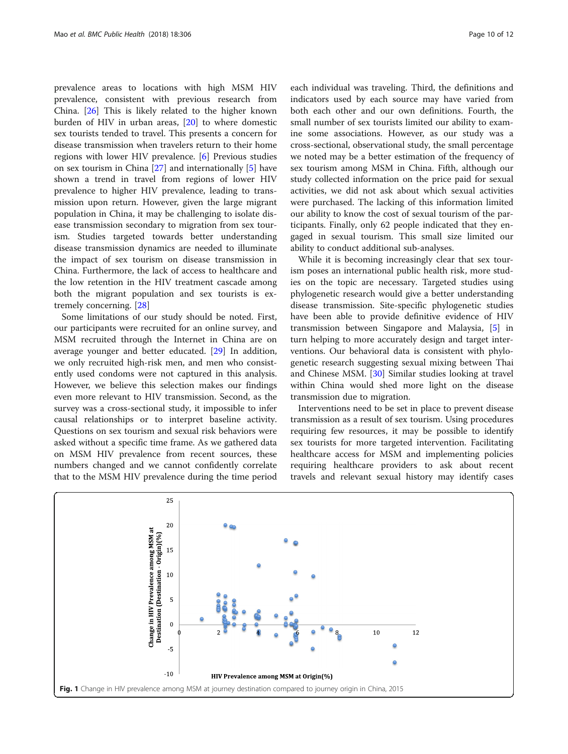<span id="page-9-0"></span>prevalence areas to locations with high MSM HIV prevalence, consistent with previous research from China. [\[26\]](#page-11-0) This is likely related to the higher known burden of HIV in urban areas, [\[20\]](#page-11-0) to where domestic sex tourists tended to travel. This presents a concern for disease transmission when travelers return to their home regions with lower HIV prevalence. [[6\]](#page-10-0) Previous studies on sex tourism in China [[27\]](#page-11-0) and internationally [\[5](#page-10-0)] have shown a trend in travel from regions of lower HIV prevalence to higher HIV prevalence, leading to transmission upon return. However, given the large migrant population in China, it may be challenging to isolate disease transmission secondary to migration from sex tourism. Studies targeted towards better understanding disease transmission dynamics are needed to illuminate the impact of sex tourism on disease transmission in China. Furthermore, the lack of access to healthcare and the low retention in the HIV treatment cascade among both the migrant population and sex tourists is extremely concerning. [\[28\]](#page-11-0)

Some limitations of our study should be noted. First, our participants were recruited for an online survey, and MSM recruited through the Internet in China are on average younger and better educated. [[29\]](#page-11-0) In addition, we only recruited high-risk men, and men who consistently used condoms were not captured in this analysis. However, we believe this selection makes our findings even more relevant to HIV transmission. Second, as the survey was a cross-sectional study, it impossible to infer causal relationships or to interpret baseline activity. Questions on sex tourism and sexual risk behaviors were asked without a specific time frame. As we gathered data on MSM HIV prevalence from recent sources, these numbers changed and we cannot confidently correlate that to the MSM HIV prevalence during the time period

each individual was traveling. Third, the definitions and indicators used by each source may have varied from both each other and our own definitions. Fourth, the small number of sex tourists limited our ability to examine some associations. However, as our study was a cross-sectional, observational study, the small percentage we noted may be a better estimation of the frequency of sex tourism among MSM in China. Fifth, although our study collected information on the price paid for sexual activities, we did not ask about which sexual activities were purchased. The lacking of this information limited our ability to know the cost of sexual tourism of the participants. Finally, only 62 people indicated that they engaged in sexual tourism. This small size limited our

While it is becoming increasingly clear that sex tourism poses an international public health risk, more studies on the topic are necessary. Targeted studies using phylogenetic research would give a better understanding disease transmission. Site-specific phylogenetic studies have been able to provide definitive evidence of HIV transmission between Singapore and Malaysia, [[5\]](#page-10-0) in turn helping to more accurately design and target interventions. Our behavioral data is consistent with phylogenetic research suggesting sexual mixing between Thai and Chinese MSM. [[30\]](#page-11-0) Similar studies looking at travel within China would shed more light on the disease transmission due to migration.

ability to conduct additional sub-analyses.

Interventions need to be set in place to prevent disease transmission as a result of sex tourism. Using procedures requiring few resources, it may be possible to identify sex tourists for more targeted intervention. Facilitating healthcare access for MSM and implementing policies requiring healthcare providers to ask about recent travels and relevant sexual history may identify cases

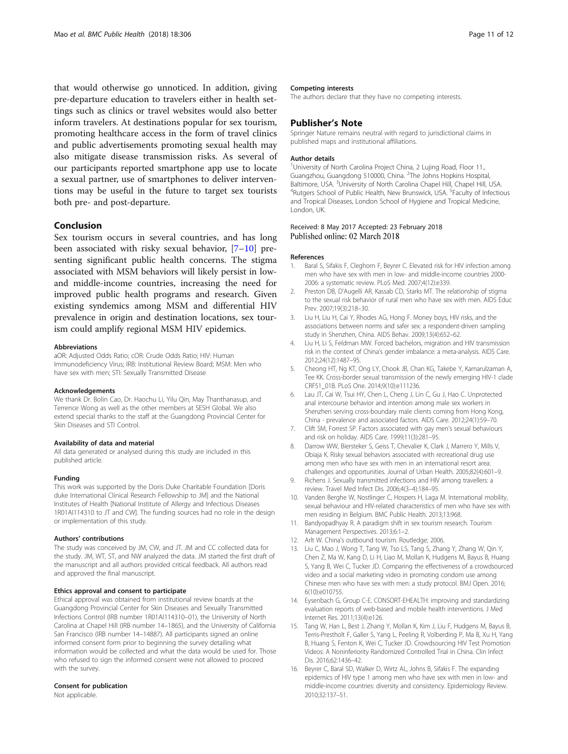<span id="page-10-0"></span>that would otherwise go unnoticed. In addition, giving pre-departure education to travelers either in health settings such as clinics or travel websites would also better inform travelers. At destinations popular for sex tourism, promoting healthcare access in the form of travel clinics and public advertisements promoting sexual health may also mitigate disease transmission risks. As several of our participants reported smartphone app use to locate a sexual partner, use of smartphones to deliver interventions may be useful in the future to target sex tourists both pre- and post-departure.

#### Conclusion

Sex tourism occurs in several countries, and has long been associated with risky sexual behavior, [7–10] presenting significant public health concerns. The stigma associated with MSM behaviors will likely persist in lowand middle-income countries, increasing the need for improved public health programs and research. Given existing syndemics among MSM and differential HIV prevalence in origin and destination locations, sex tourism could amplify regional MSM HIV epidemics.

#### Abbreviations

aOR: Adjusted Odds Ratio; cOR: Crude Odds Ratio; HIV: Human Immunodeficiency Virus; IRB: Institutional Review Board; MSM: Men who have sex with men; STI: Sexually Transmitted Disease

#### Acknowledgements

We thank Dr. Bolin Cao, Dr. Haochu Li, Yilu Qin, May Thanthanasup, and Terrence Wong as well as the other members at SESH Global. We also extend special thanks to the staff at the Guangdong Provincial Center for Skin Diseases and STI Control.

#### Availability of data and material

All data generated or analysed during this study are included in this published article.

#### Funding

This work was supported by the Doris Duke Charitable Foundation [Doris duke International Clinical Research Fellowship to JM] and the National Institutes of Health [National Institute of Allergy and Infectious Diseases 1R01AI114310 to JT and CW]. The funding sources had no role in the design or implementation of this study.

#### Authors' contributions

The study was conceived by JM, CW, and JT. JM and CC collected data for the study. JM, WT, ST, and NW analyzed the data. JM started the first draft of the manuscript and all authors provided critical feedback. All authors read and approved the final manuscript.

#### Ethics approval and consent to participate

Ethical approval was obtained from institutional review boards at the Guangdong Provincial Center for Skin Diseases and Sexually Transmitted Infections Control (IRB number 1R01AI114310–01), the University of North Carolina at Chapel Hill (IRB number 14–1865), and the University of California San Francisco (IRB number 14–14887). All participants signed an online informed consent form prior to beginning the survey detailing what information would be collected and what the data would be used for. Those who refused to sign the informed consent were not allowed to proceed with the survey.

#### Consent for publication

Not applicable.

#### Competing interests

The authors declare that they have no competing interests.

#### Publisher's Note

Springer Nature remains neutral with regard to jurisdictional claims in published maps and institutional affiliations.

#### Author details

<sup>1</sup>University of North Carolina Project China, 2 Lujing Road, Floor 11. Guangzhou, Guangdong 510000, China. <sup>2</sup>The Johns Hopkins Hospital Baltimore, USA. <sup>3</sup>University of North Carolina Chapel Hill, Chapel Hill, USA. <sup>4</sup>Putgers School of Public Hoalth Now Brunswick USA. <sup>5</sup>Faculty of Infectio Rutgers School of Public Health, New Brunswick, USA. <sup>5</sup>Faculty of Infectious and Tropical Diseases, London School of Hygiene and Tropical Medicine, London, UK.

#### Received: 8 May 2017 Accepted: 23 February 2018 Published online: 02 March 2018

#### References

- 1. Baral S, Sifakis F, Cleghorn F, Beyrer C. Elevated risk for HIV infection among men who have sex with men in low- and middle-income countries 2000- 2006: a systematic review. PLoS Med. 2007;4(12):e339.
- 2. Preston DB, D'Augelli AR, Kassab CD, Starks MT. The relationship of stigma to the sexual risk behavior of rural men who have sex with men. AIDS Educ Prev. 2007;19(3):218–30.
- 3. Liu H, Liu H, Cai Y, Rhodes AG, Hong F. Money boys, HIV risks, and the associations between norms and safer sex: a respondent-driven sampling study in Shenzhen, China. AIDS Behav. 2009;13(4):652–62.
- 4. Liu H, Li S, Feldman MW. Forced bachelors, migration and HIV transmission risk in the context of China's gender imbalance: a meta-analysis. AIDS Care. 2012;24(12):1487–95.
- 5. Cheong HT, Ng KT, Ong LY, Chook JB, Chan KG, Takebe Y, Kamarulzaman A, Tee KK. Cross-border sexual transmission of the newly emerging HIV-1 clade CRF51\_01B. PLoS One. 2014;9(10):e111236.
- 6. Lau JT, Cai W, Tsui HY, Chen L, Cheng J, Lin C, Gu J, Hao C. Unprotected anal intercourse behavior and intention among male sex workers in Shenzhen serving cross-boundary male clients coming from Hong Kong, China - prevalence and associated factors. AIDS Care. 2012;24(1):59–70.
- 7. Clift SM, Forrest SP. Factors associated with gay men's sexual behaviours and risk on holiday. AIDS Care. 1999;11(3):281–95.
- 8. Darrow WW, Biersteker S, Geiss T, Chevalier K, Clark J, Marrero Y, Mills V, Obiaja K. Risky sexual behaviors associated with recreational drug use among men who have sex with men in an international resort area: challenges and opportunities. Journal of Urban Health. 2005;82(4):601–9.
- 9. Richens J. Sexually transmitted infections and HIV among travellers: a review. Travel Med Infect Dis. 2006;4(3–4):184–95.
- 10. Vanden Berghe W, Nostlinger C, Hospers H, Laga M. International mobility, sexual behaviour and HIV-related characteristics of men who have sex with men residing in Belgium. BMC Public Health. 2013;13:968.
- 11. Bandyopadhyay R. A paradigm shift in sex tourism research. Tourism Management Perspectives. 2013;6:1–2.
- 12. Arlt W. China's outbound tourism. Routledge; 2006.
- 13. Liu C, Mao J, Wong T, Tang W, Tso LS, Tang S, Zhang Y, Zhang W, Qin Y, Chen Z, Ma W, Kang D, Li H, Liao M, Mollan K, Hudgens M, Bayus B, Huang S, Yang B, Wei C, Tucker JD. Comparing the effectiveness of a crowdsourced video and a social marketing video in promoting condom use among Chinese men who have sex with men: a study protocol. BMJ Open. 2016; 6(10):e010755.
- 14. Eysenbach G, Group C-E. CONSORT-EHEALTH: improving and standardizing evaluation reports of web-based and mobile health interventions. J Med Internet Res. 2011;13(4):e126.
- 15. Tang W, Han L, Best J, Zhang Y, Mollan K, Kim J, Liu F, Hudgens M, Bayus B, Terris-Prestholt F, Galler S, Yang L, Peeling R, Volberding P, Ma B, Xu H, Yang B, Huang S, Fenton K, Wei C, Tucker JD. Crowdsourcing HIV Test Promotion Videos: A Noninferiority Randomized Controlled Trial in China. Clin Infect Dis. 2016;62:1436–42.
- 16. Beyrer C, Baral SD, Walker D, Wirtz AL, Johns B, Sifakis F. The expanding epidemics of HIV type 1 among men who have sex with men in low- and middle-income countries: diversity and consistency. Epidemiology Review. 2010;32:137–51.